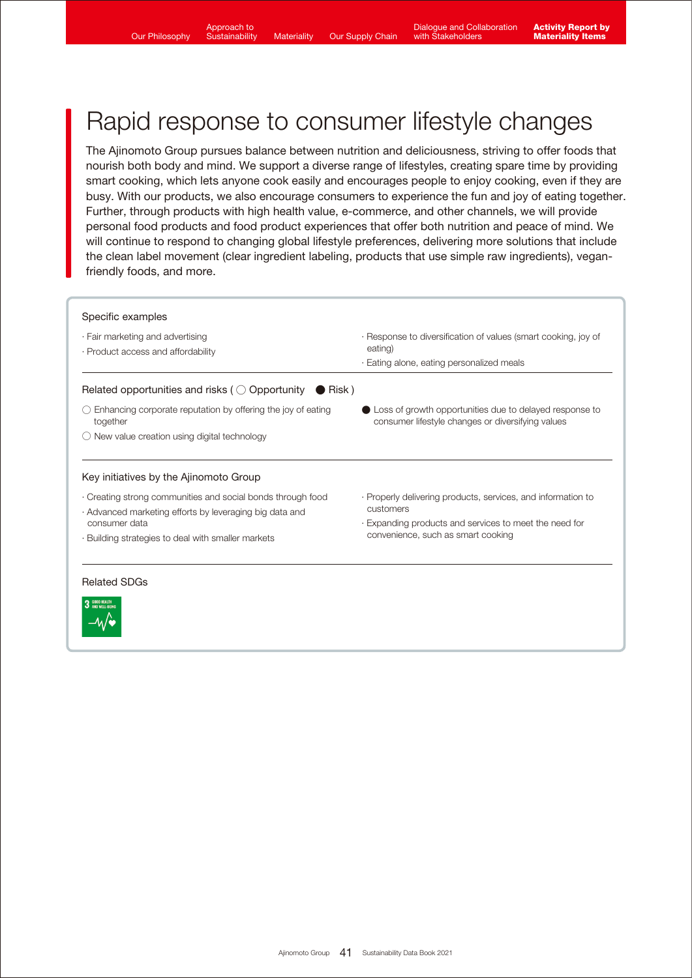W∙

# Rapid response to consumer lifestyle changes

The Ajinomoto Group pursues balance between nutrition and deliciousness, striving to offer foods that nourish both body and mind. We support a diverse range of lifestyles, creating spare time by providing smart cooking, which lets anyone cook easily and encourages people to enjoy cooking, even if they are busy. With our products, we also encourage consumers to experience the fun and joy of eating together. Further, through products with high health value, e-commerce, and other channels, we will provide personal food products and food product experiences that offer both nutrition and peace of mind. We will continue to respond to changing global lifestyle preferences, delivering more solutions that include the clean label movement (clear ingredient labeling, products that use simple raw ingredients), veganfriendly foods, and more.

| · Fair marketing and advertising<br>· Product access and affordability                              | · Response to diversification of values (smart cooking, joy of<br>eating)<br>· Eating alone, eating personalized meals      |
|-----------------------------------------------------------------------------------------------------|-----------------------------------------------------------------------------------------------------------------------------|
| Related opportunities and risks ( $\bigcirc$ Opportunity $\bigcirc$ Risk)                           |                                                                                                                             |
| Enhancing corporate reputation by offering the joy of eating<br>together                            | $\blacksquare$ Loss of growth opportunities due to delayed response to<br>consumer lifestyle changes or diversifying values |
|                                                                                                     |                                                                                                                             |
| New value creation using digital technology                                                         |                                                                                                                             |
| Key initiatives by the Ajinomoto Group<br>Creating strong communities and social bonds through food | · Properly delivering products, services, and information to<br>customers                                                   |
| · Advanced marketing efforts by leveraging big data and<br>consumer data                            | Expanding products and services to meet the need for                                                                        |
| · Building strategies to deal with smaller markets                                                  | convenience, such as smart cooking                                                                                          |
| <b>Related SDGs</b>                                                                                 |                                                                                                                             |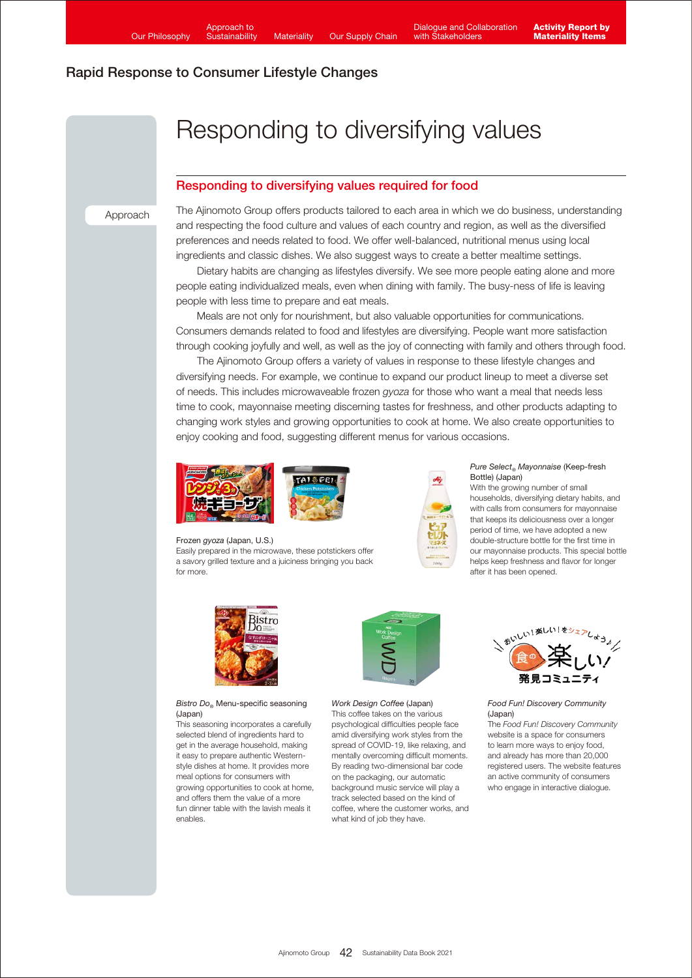# Responding to diversifying values

### Responding to diversifying values required for food

Approach

The Ajinomoto Group offers products tailored to each area in which we do business, understanding and respecting the food culture and values of each country and region, as well as the diversified preferences and needs related to food. We offer well-balanced, nutritional menus using local ingredients and classic dishes. We also suggest ways to create a better mealtime settings.

 Dietary habits are changing as lifestyles diversify. We see more people eating alone and more people eating individualized meals, even when dining with family. The busy-ness of life is leaving people with less time to prepare and eat meals.

 Meals are not only for nourishment, but also valuable opportunities for communications. Consumers demands related to food and lifestyles are diversifying. People want more satisfaction through cooking joyfully and well, as well as the joy of connecting with family and others through food.

 The Ajinomoto Group offers a variety of values in response to these lifestyle changes and diversifying needs. For example, we continue to expand our product lineup to meet a diverse set of needs. This includes microwaveable frozen *gyoza* for those who want a meal that needs less time to cook, mayonnaise meeting discerning tastes for freshness, and other products adapting to changing work styles and growing opportunities to cook at home. We also create opportunities to enjoy cooking and food, suggesting different menus for various occasions.



Frozen *gyoza* (Japan, U.S.)

Easily prepared in the microwave, these potstickers offer a savory grilled texture and a juiciness bringing you back for more.



#### *Pure Select® Mayonnaise* (Keep-fresh Bottle) (Japan)

With the growing number of small households, diversifying dietary habits, and with calls from consumers for mayonnaise that keeps its deliciousness over a longer period of time, we have adopted a new double-structure bottle for the first time in our mayonnaise products. This special bottle helps keep freshness and flavor for longer after it has been opened.



#### *Bistro Do®* Menu-specific seasoning (Japan)

This seasoning incorporates a carefully selected blend of ingredients hard to get in the average household, making it easy to prepare authentic Westernstyle dishes at home. It provides more meal options for consumers with growing opportunities to cook at home, and offers them the value of a more fun dinner table with the lavish meals it enables.



*Work Design Coffee* (Japan) This coffee takes on the various psychological difficulties people face amid diversifying work styles from the spread of COVID-19, like relaxing, and mentally overcoming difficult moments. By reading two-dimensional bar code on the packaging, our automatic background music service will play a track selected based on the kind of coffee, where the customer works, and what kind of job they have.



*Food Fun! Discovery Community* (Japan)

The *Food Fun! Discovery Community* website is a space for consumers to learn more ways to enjoy food, and already has more than 20,000 registered users. The website features an active community of consumers who engage in interactive dialogue.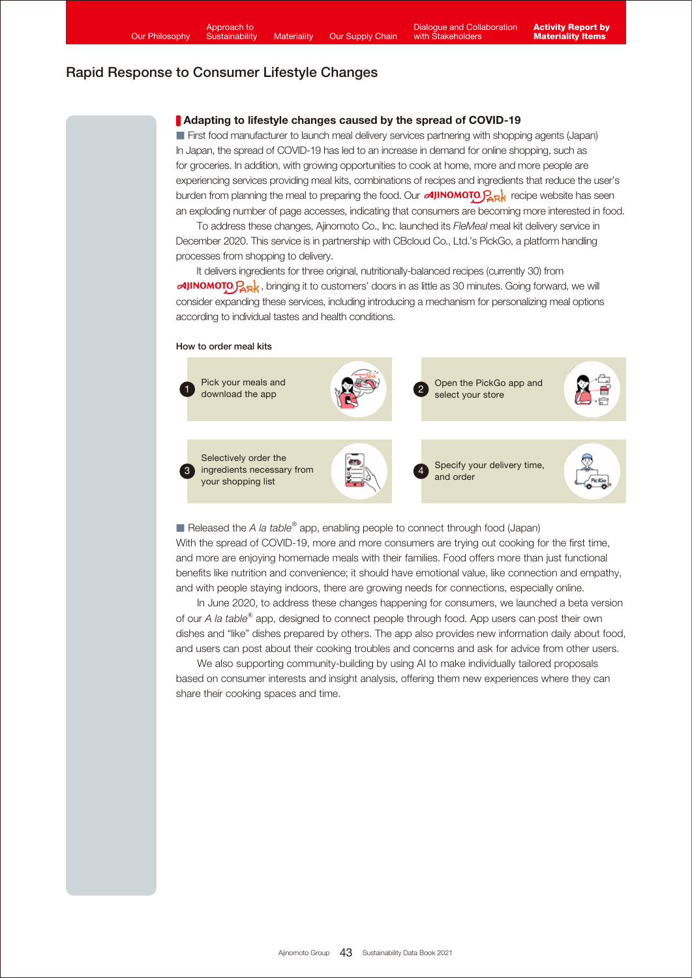#### Adapting to lifestyle changes caused by the spread of COVID-19

■ First food manufacturer to launch meal delivery services partnering with shopping agents (Japan) In Japan, the spread of COVID-19 has led to an increase in demand for online shopping, such as for groceries. In addition, with growing opportunities to cook at home, more and more people are experiencing services providing meal kits, combinations of recipes and ingredients that reduce the user's burden from planning the meal to preparing the food. Our  $\alpha J$ <sup>N</sup>NOMOTO. $P_{\alpha R}$ <sup>k</sup> recipe website has seen an exploding number of page accesses, indicating that consumers are becoming more interested in food.

 To address these changes, Ajinomoto Co., Inc. launched its *FleMeal* meal kit delivery service in December 2020. This service is in partnership with CBcloud Co., Ltd.'s PickGo, a platform handling processes from shopping to delivery.

It delivers ingredients for three original, nutritionally-balanced recipes (currently 30) from  $\alpha$ JINOMOTO $\beta_{\rm RR}$ , bringing it to customers' doors in as little as 30 minutes. Going forward, we will consider expanding these services, including introducing a mechanism for personalizing meal options according to individual tastes and health conditions.

#### How to order meal kits



■ Released the *A la table<sup>®</sup>* app, enabling people to connect through food (Japan) With the spread of COVID-19, more and more consumers are trying out cooking for the first time, and more are enjoying homemade meals with their families. Food offers more than just functional benefits like nutrition and convenience; it should have emotional value, like connection and empathy, and with people staying indoors, there are growing needs for connections, especially online.

 In June 2020, to address these changes happening for consumers, we launched a beta version of our *A la table*® app, designed to connect people through food. App users can post their own dishes and "like" dishes prepared by others. The app also provides new information daily about food, and users can post about their cooking troubles and concerns and ask for advice from other users.

 We also supporting community-building by using AI to make individually tailored proposals based on consumer interests and insight analysis, offering them new experiences where they can share their cooking spaces and time.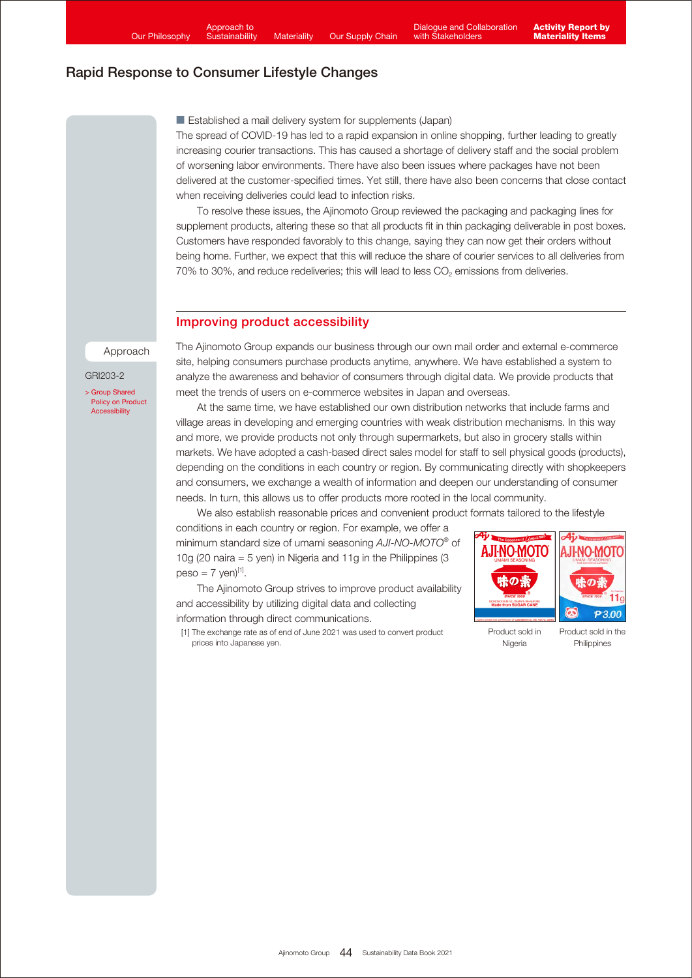■ Established a mail delivery system for supplements (Japan)

The spread of COVID-19 has led to a rapid expansion in online shopping, further leading to greatly increasing courier transactions. This has caused a shortage of delivery staff and the social problem of worsening labor environments. There have also been issues where packages have not been delivered at the customer-specified times. Yet still, there have also been concerns that close contact when receiving deliveries could lead to infection risks.

 To resolve these issues, the Ajinomoto Group reviewed the packaging and packaging lines for supplement products, altering these so that all products fit in thin packaging deliverable in post boxes. Customers have responded favorably to this change, saying they can now get their orders without being home. Further, we expect that this will reduce the share of courier services to all deliveries from 70% to 30%, and reduce redeliveries; this will lead to less  $CO<sub>2</sub>$  emissions from deliveries.

#### Improving product accessibility

Approach

GRI203-2

> Group Shared [Policy on Product](https://www.ajinomoto.com/sustainability/agp/product-accessibility.php) **Accessibility** 

The Ajinomoto Group expands our business through our own mail order and external e-commerce site, helping consumers purchase products anytime, anywhere. We have established a system to analyze the awareness and behavior of consumers through digital data. We provide products that meet the trends of users on e-commerce websites in Japan and overseas.

 At the same time, we have established our own distribution networks that include farms and village areas in developing and emerging countries with weak distribution mechanisms. In this way and more, we provide products not only through supermarkets, but also in grocery stalls within markets. We have adopted a cash-based direct sales model for staff to sell physical goods (products), depending on the conditions in each country or region. By communicating directly with shopkeepers and consumers, we exchange a wealth of information and deepen our understanding of consumer needs. In turn, this allows us to offer products more rooted in the local community.

We also establish reasonable prices and convenient product formats tailored to the lifestyle

conditions in each country or region. For example, we offer a minimum standard size of umami seasoning *AJI-NO-MOTO®* of 10g (20 naira = 5 yen) in Nigeria and 11g in the Philippines (3  $peso = 7$  yen)<sup>[1]</sup>.

 The Ajinomoto Group strives to improve product availability and accessibility by utilizing digital data and collecting information through direct communications.



[1] The exchange rate as of end of June 2021 was used to convert product prices into Japanese yen.

Product sold in Nigeria

Product sold in the **Philippines**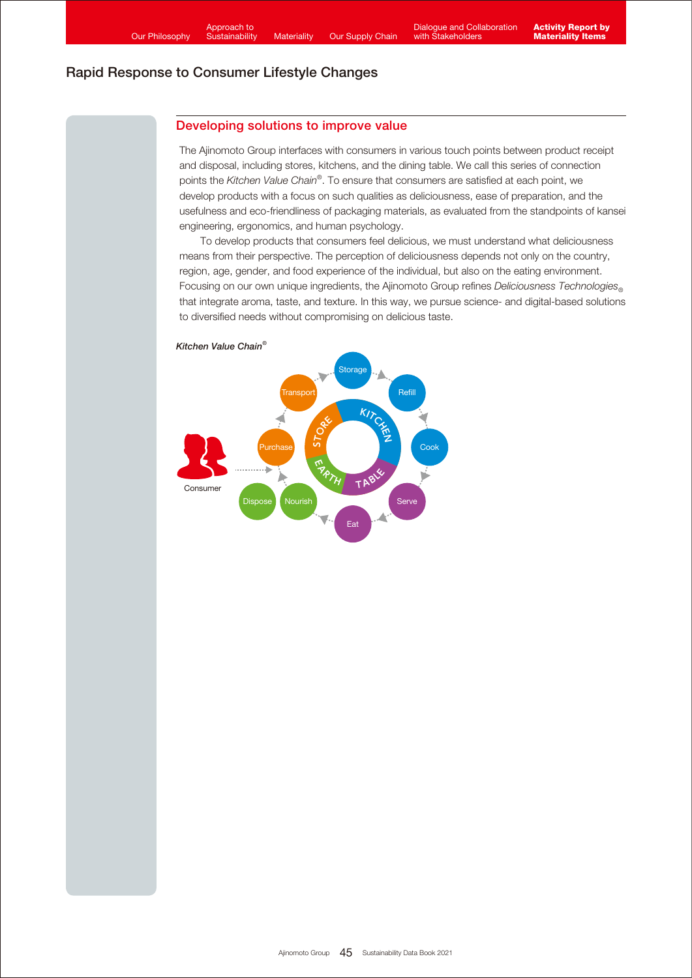## Developing solutions to improve value

The Ajinomoto Group interfaces with consumers in various touch points between product receipt and disposal, including stores, kitchens, and the dining table. We call this series of connection points the *Kitchen Value Chain®* . To ensure that consumers are satisfied at each point, we develop products with a focus on such qualities as deliciousness, ease of preparation, and the usefulness and eco-friendliness of packaging materials, as evaluated from the standpoints of kansei engineering, ergonomics, and human psychology.

 To develop products that consumers feel delicious, we must understand what deliciousness means from their perspective. The perception of deliciousness depends not only on the country, region, age, gender, and food experience of the individual, but also on the eating environment. Focusing on our own unique ingredients, the Ajinomoto Group refines *Deliciousness Technologies*<sup>®</sup> that integrate aroma, taste, and texture. In this way, we pursue science- and digital-based solutions to diversified needs without compromising on delicious taste.